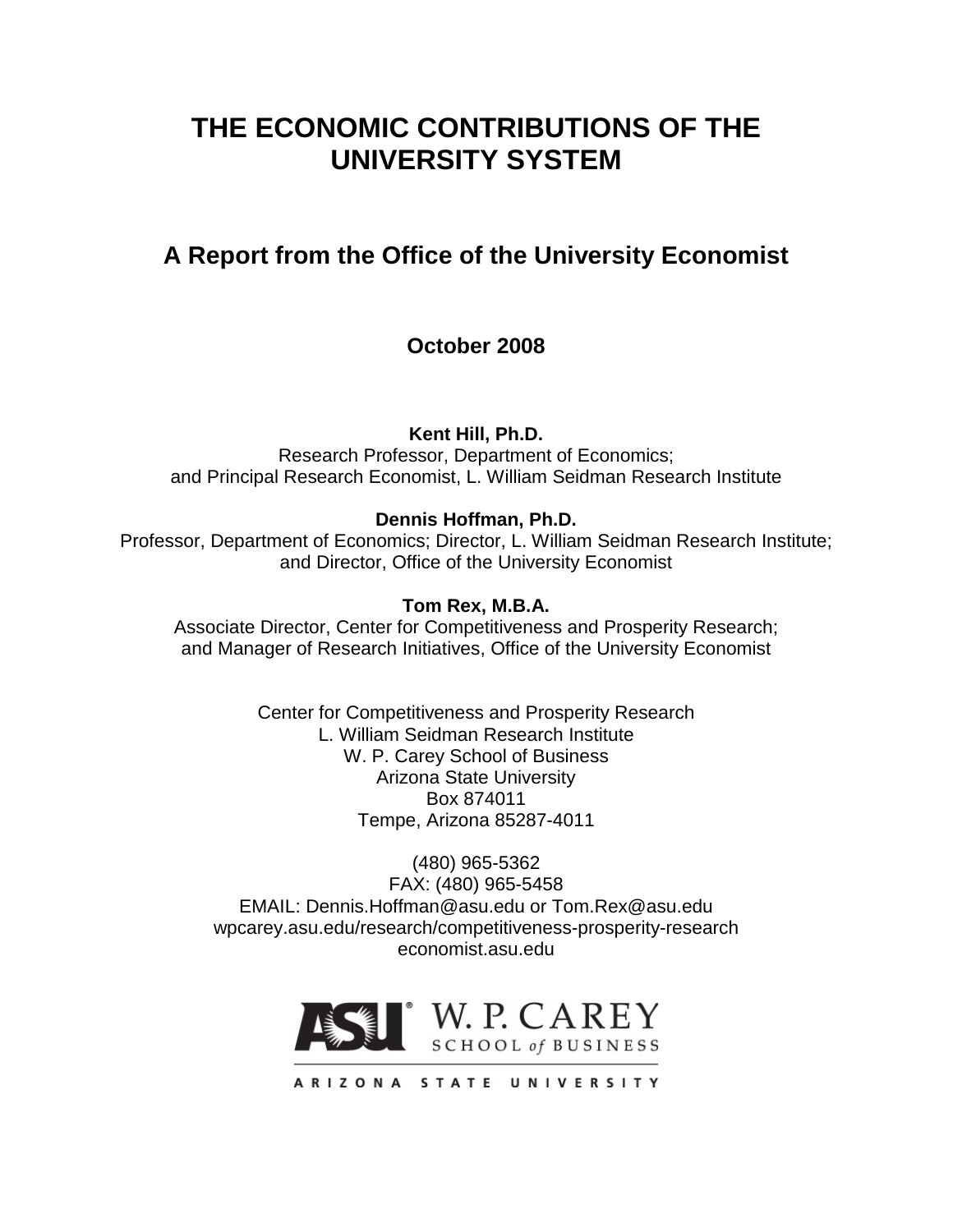# **THE ECONOMIC CONTRIBUTIONS OF THE UNIVERSITY SYSTEM**

## **A Report from the Office of the University Economist**

## **October 2008**

**Kent Hill, Ph.D.**

Research Professor, Department of Economics; and Principal Research Economist, L. William Seidman Research Institute

### **Dennis Hoffman, Ph.D.**

Professor, Department of Economics; Director, L. William Seidman Research Institute; and Director, Office of the University Economist

#### **Tom Rex, M.B.A.**

Associate Director, Center for Competitiveness and Prosperity Research; and Manager of Research Initiatives, Office of the University Economist

> Center for Competitiveness and Prosperity Research L. William Seidman Research Institute W. P. Carey School of Business Arizona State University Box 874011 Tempe, Arizona 85287-4011

(480) 965-5362 FAX: (480) 965-5458 EMAIL: Dennis.Hoffman@asu.edu or Tom.Rex@asu.edu wpcarey.asu.edu/research/competitiveness-prosperity-research economist.asu.edu

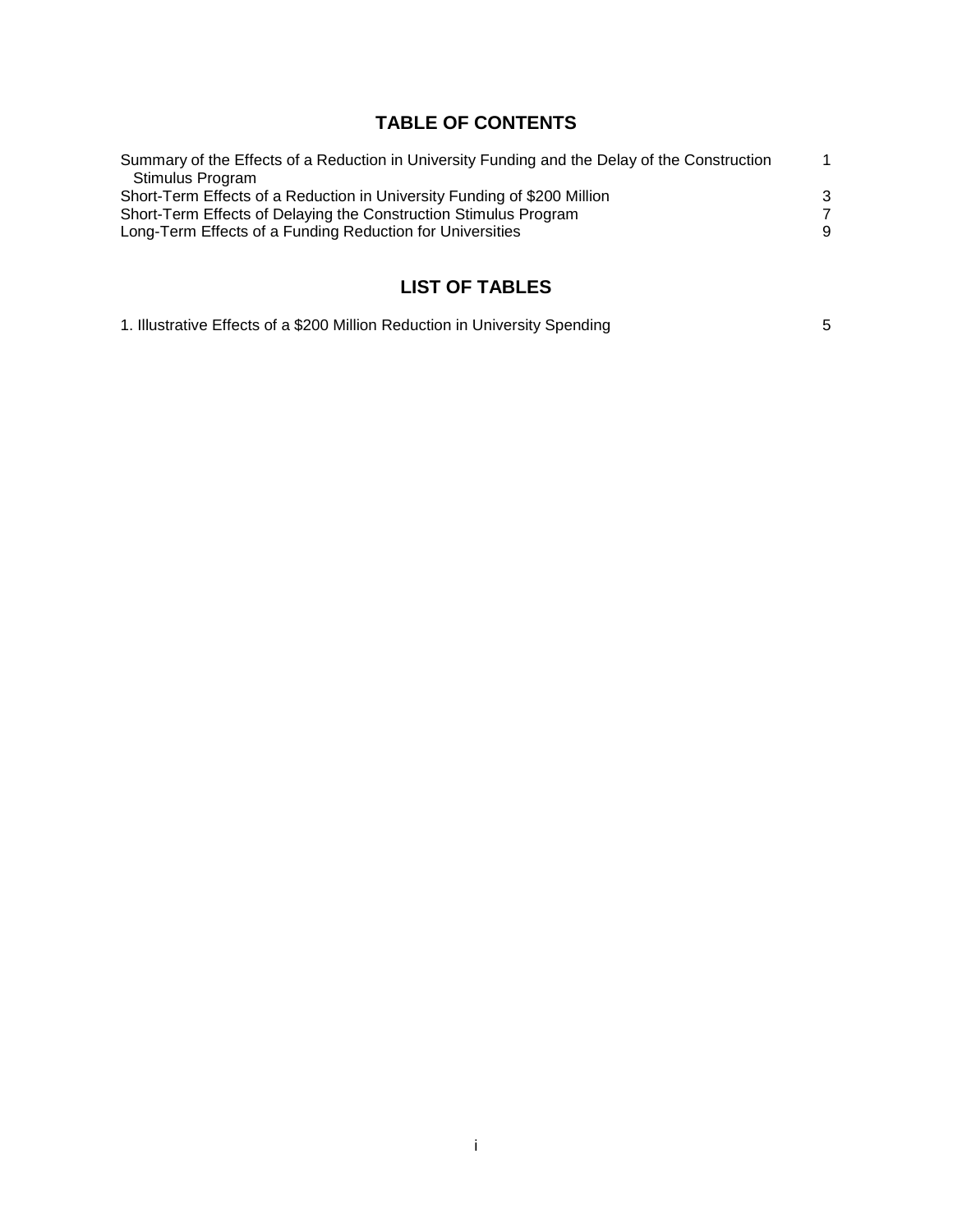## **TABLE OF CONTENTS**

| Summary of the Effects of a Reduction in University Funding and the Delay of the Construction | 1 |
|-----------------------------------------------------------------------------------------------|---|
| Stimulus Program                                                                              |   |
| Short-Term Effects of a Reduction in University Funding of \$200 Million                      | 3 |
| Short-Term Effects of Delaying the Construction Stimulus Program                              | 7 |
| Long-Term Effects of a Funding Reduction for Universities                                     | 9 |
|                                                                                               |   |

## **LIST OF TABLES**

| 1. Illustrative Effects of a \$200 Million Reduction in University Spending |  |
|-----------------------------------------------------------------------------|--|
|-----------------------------------------------------------------------------|--|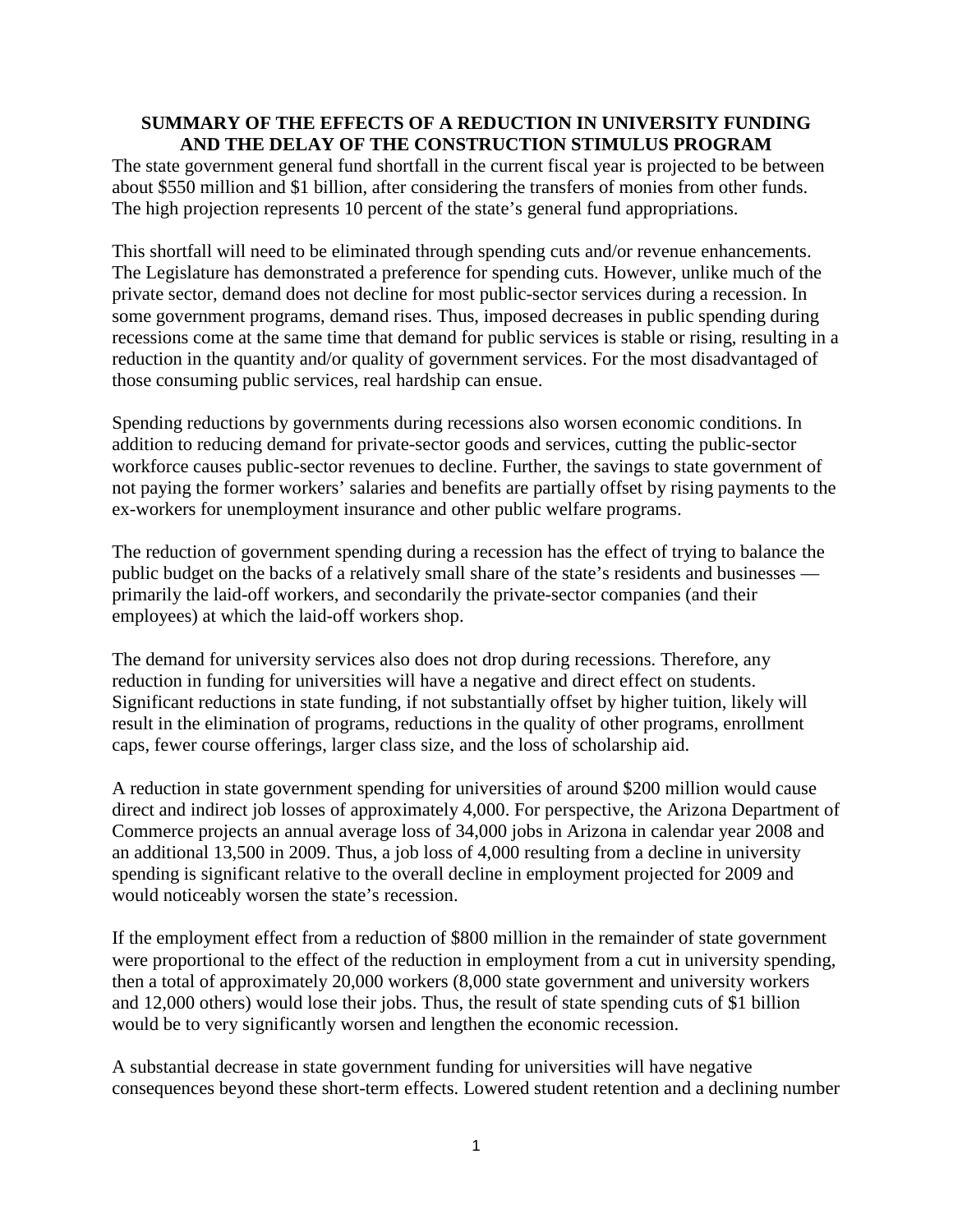#### **SUMMARY OF THE EFFECTS OF A REDUCTION IN UNIVERSITY FUNDING AND THE DELAY OF THE CONSTRUCTION STIMULUS PROGRAM**

The state government general fund shortfall in the current fiscal year is projected to be between about \$550 million and \$1 billion, after considering the transfers of monies from other funds. The high projection represents 10 percent of the state's general fund appropriations.

This shortfall will need to be eliminated through spending cuts and/or revenue enhancements. The Legislature has demonstrated a preference for spending cuts. However, unlike much of the private sector, demand does not decline for most public-sector services during a recession. In some government programs, demand rises. Thus, imposed decreases in public spending during recessions come at the same time that demand for public services is stable or rising, resulting in a reduction in the quantity and/or quality of government services. For the most disadvantaged of those consuming public services, real hardship can ensue.

Spending reductions by governments during recessions also worsen economic conditions. In addition to reducing demand for private-sector goods and services, cutting the public-sector workforce causes public-sector revenues to decline. Further, the savings to state government of not paying the former workers' salaries and benefits are partially offset by rising payments to the ex-workers for unemployment insurance and other public welfare programs.

The reduction of government spending during a recession has the effect of trying to balance the public budget on the backs of a relatively small share of the state's residents and businesses primarily the laid-off workers, and secondarily the private-sector companies (and their employees) at which the laid-off workers shop.

The demand for university services also does not drop during recessions. Therefore, any reduction in funding for universities will have a negative and direct effect on students. Significant reductions in state funding, if not substantially offset by higher tuition, likely will result in the elimination of programs, reductions in the quality of other programs, enrollment caps, fewer course offerings, larger class size, and the loss of scholarship aid.

A reduction in state government spending for universities of around \$200 million would cause direct and indirect job losses of approximately 4,000. For perspective, the Arizona Department of Commerce projects an annual average loss of 34,000 jobs in Arizona in calendar year 2008 and an additional 13,500 in 2009. Thus, a job loss of 4,000 resulting from a decline in university spending is significant relative to the overall decline in employment projected for 2009 and would noticeably worsen the state's recession.

If the employment effect from a reduction of \$800 million in the remainder of state government were proportional to the effect of the reduction in employment from a cut in university spending, then a total of approximately 20,000 workers (8,000 state government and university workers and 12,000 others) would lose their jobs. Thus, the result of state spending cuts of \$1 billion would be to very significantly worsen and lengthen the economic recession.

A substantial decrease in state government funding for universities will have negative consequences beyond these short-term effects. Lowered student retention and a declining number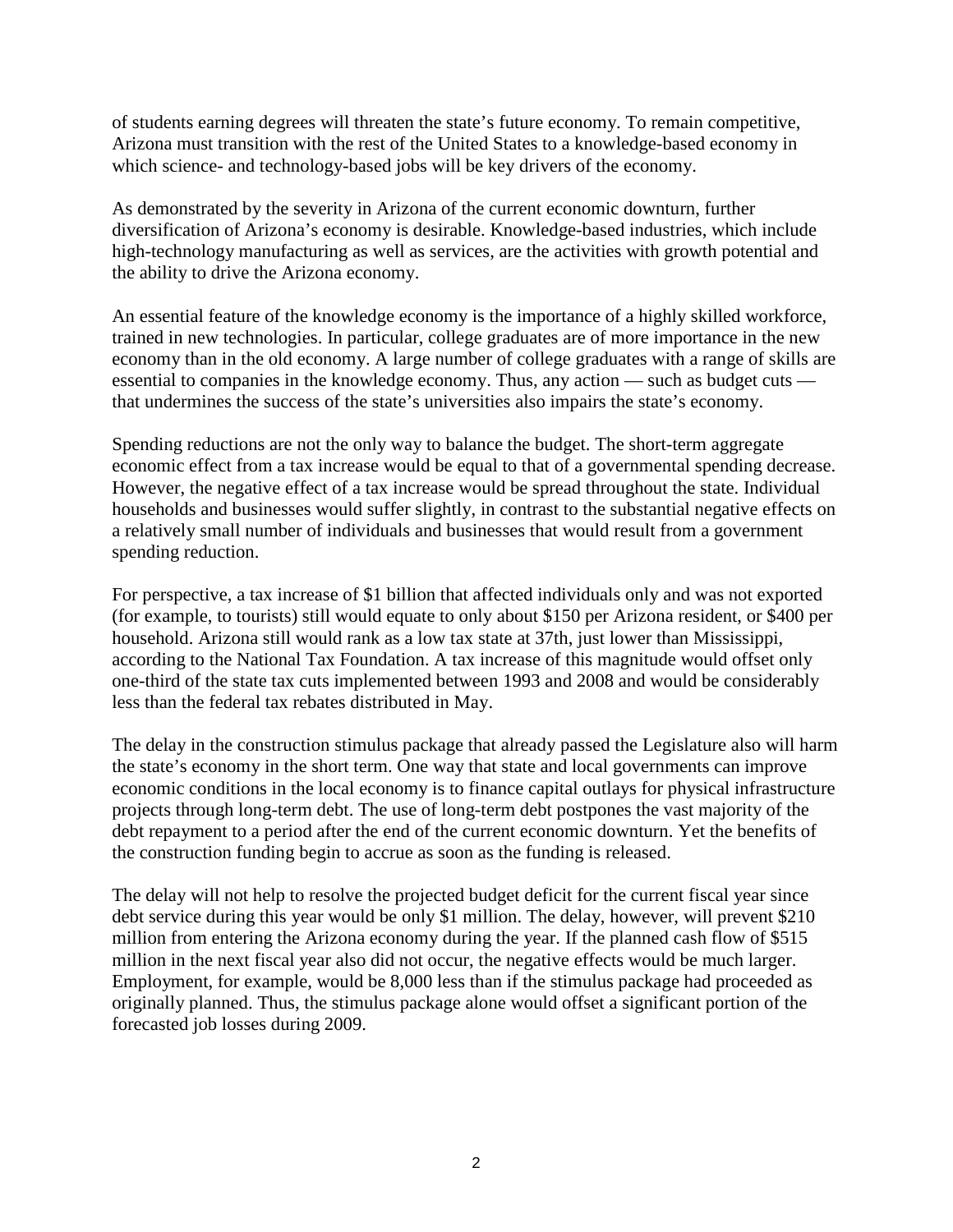of students earning degrees will threaten the state's future economy. To remain competitive, Arizona must transition with the rest of the United States to a knowledge-based economy in which science- and technology-based jobs will be key drivers of the economy.

As demonstrated by the severity in Arizona of the current economic downturn, further diversification of Arizona's economy is desirable. Knowledge-based industries, which include high-technology manufacturing as well as services, are the activities with growth potential and the ability to drive the Arizona economy.

An essential feature of the knowledge economy is the importance of a highly skilled workforce, trained in new technologies. In particular, college graduates are of more importance in the new economy than in the old economy. A large number of college graduates with a range of skills are essential to companies in the knowledge economy. Thus, any action — such as budget cuts that undermines the success of the state's universities also impairs the state's economy.

Spending reductions are not the only way to balance the budget. The short-term aggregate economic effect from a tax increase would be equal to that of a governmental spending decrease. However, the negative effect of a tax increase would be spread throughout the state. Individual households and businesses would suffer slightly, in contrast to the substantial negative effects on a relatively small number of individuals and businesses that would result from a government spending reduction.

For perspective, a tax increase of \$1 billion that affected individuals only and was not exported (for example, to tourists) still would equate to only about \$150 per Arizona resident, or \$400 per household. Arizona still would rank as a low tax state at 37th, just lower than Mississippi, according to the National Tax Foundation. A tax increase of this magnitude would offset only one-third of the state tax cuts implemented between 1993 and 2008 and would be considerably less than the federal tax rebates distributed in May.

The delay in the construction stimulus package that already passed the Legislature also will harm the state's economy in the short term. One way that state and local governments can improve economic conditions in the local economy is to finance capital outlays for physical infrastructure projects through long-term debt. The use of long-term debt postpones the vast majority of the debt repayment to a period after the end of the current economic downturn. Yet the benefits of the construction funding begin to accrue as soon as the funding is released.

The delay will not help to resolve the projected budget deficit for the current fiscal year since debt service during this year would be only \$1 million. The delay, however, will prevent \$210 million from entering the Arizona economy during the year. If the planned cash flow of \$515 million in the next fiscal year also did not occur, the negative effects would be much larger. Employment, for example, would be 8,000 less than if the stimulus package had proceeded as originally planned. Thus, the stimulus package alone would offset a significant portion of the forecasted job losses during 2009.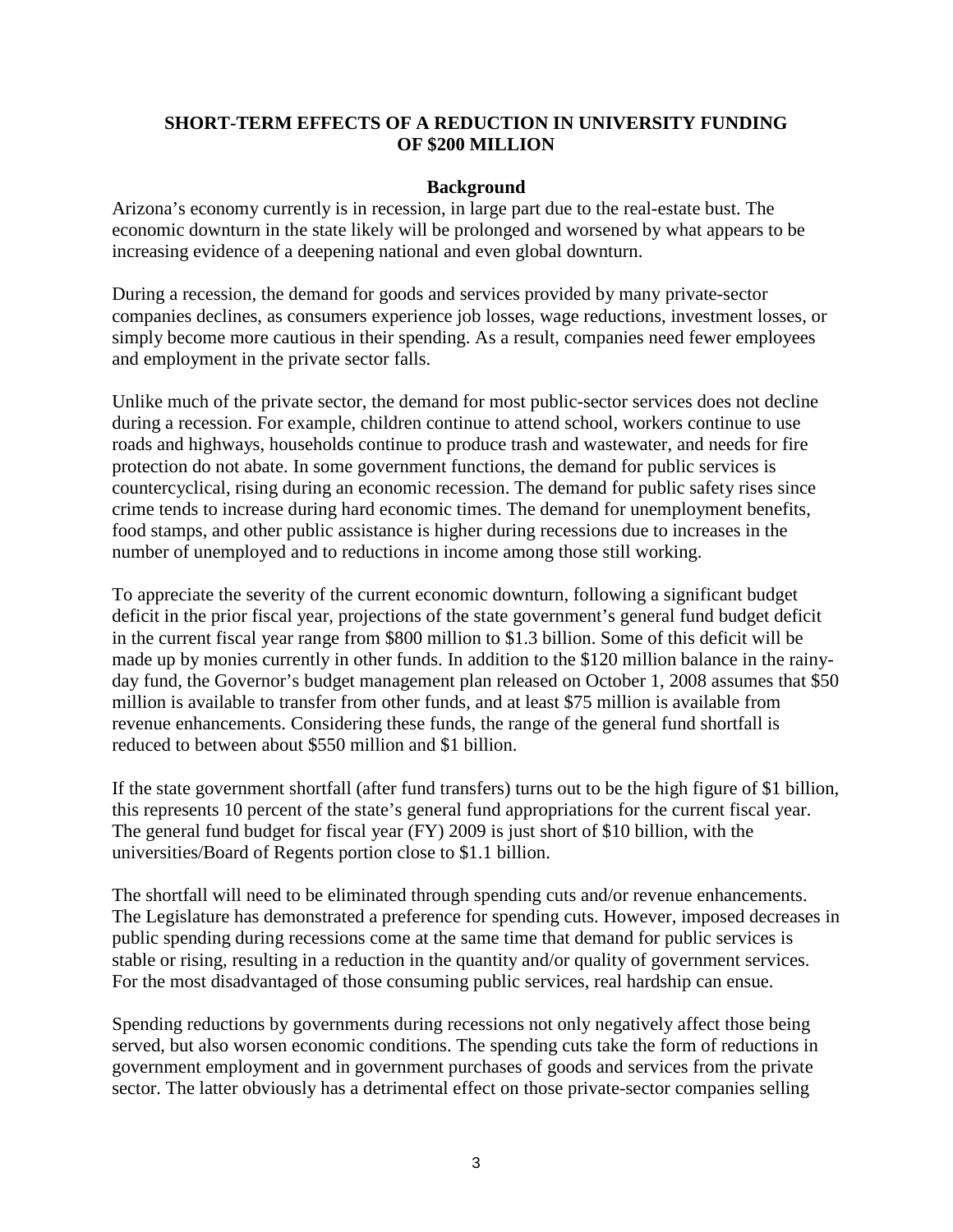#### **SHORT-TERM EFFECTS OF A REDUCTION IN UNIVERSITY FUNDING OF \$200 MILLION**

#### **Background**

Arizona's economy currently is in recession, in large part due to the real-estate bust. The economic downturn in the state likely will be prolonged and worsened by what appears to be increasing evidence of a deepening national and even global downturn.

During a recession, the demand for goods and services provided by many private-sector companies declines, as consumers experience job losses, wage reductions, investment losses, or simply become more cautious in their spending. As a result, companies need fewer employees and employment in the private sector falls.

Unlike much of the private sector, the demand for most public-sector services does not decline during a recession. For example, children continue to attend school, workers continue to use roads and highways, households continue to produce trash and wastewater, and needs for fire protection do not abate. In some government functions, the demand for public services is countercyclical, rising during an economic recession. The demand for public safety rises since crime tends to increase during hard economic times. The demand for unemployment benefits, food stamps, and other public assistance is higher during recessions due to increases in the number of unemployed and to reductions in income among those still working.

To appreciate the severity of the current economic downturn, following a significant budget deficit in the prior fiscal year, projections of the state government's general fund budget deficit in the current fiscal year range from \$800 million to \$1.3 billion. Some of this deficit will be made up by monies currently in other funds. In addition to the \$120 million balance in the rainyday fund, the Governor's budget management plan released on October 1, 2008 assumes that \$50 million is available to transfer from other funds, and at least \$75 million is available from revenue enhancements. Considering these funds, the range of the general fund shortfall is reduced to between about \$550 million and \$1 billion.

If the state government shortfall (after fund transfers) turns out to be the high figure of \$1 billion, this represents 10 percent of the state's general fund appropriations for the current fiscal year. The general fund budget for fiscal year (FY) 2009 is just short of \$10 billion, with the universities/Board of Regents portion close to \$1.1 billion.

The shortfall will need to be eliminated through spending cuts and/or revenue enhancements. The Legislature has demonstrated a preference for spending cuts. However, imposed decreases in public spending during recessions come at the same time that demand for public services is stable or rising, resulting in a reduction in the quantity and/or quality of government services. For the most disadvantaged of those consuming public services, real hardship can ensue.

Spending reductions by governments during recessions not only negatively affect those being served, but also worsen economic conditions. The spending cuts take the form of reductions in government employment and in government purchases of goods and services from the private sector. The latter obviously has a detrimental effect on those private-sector companies selling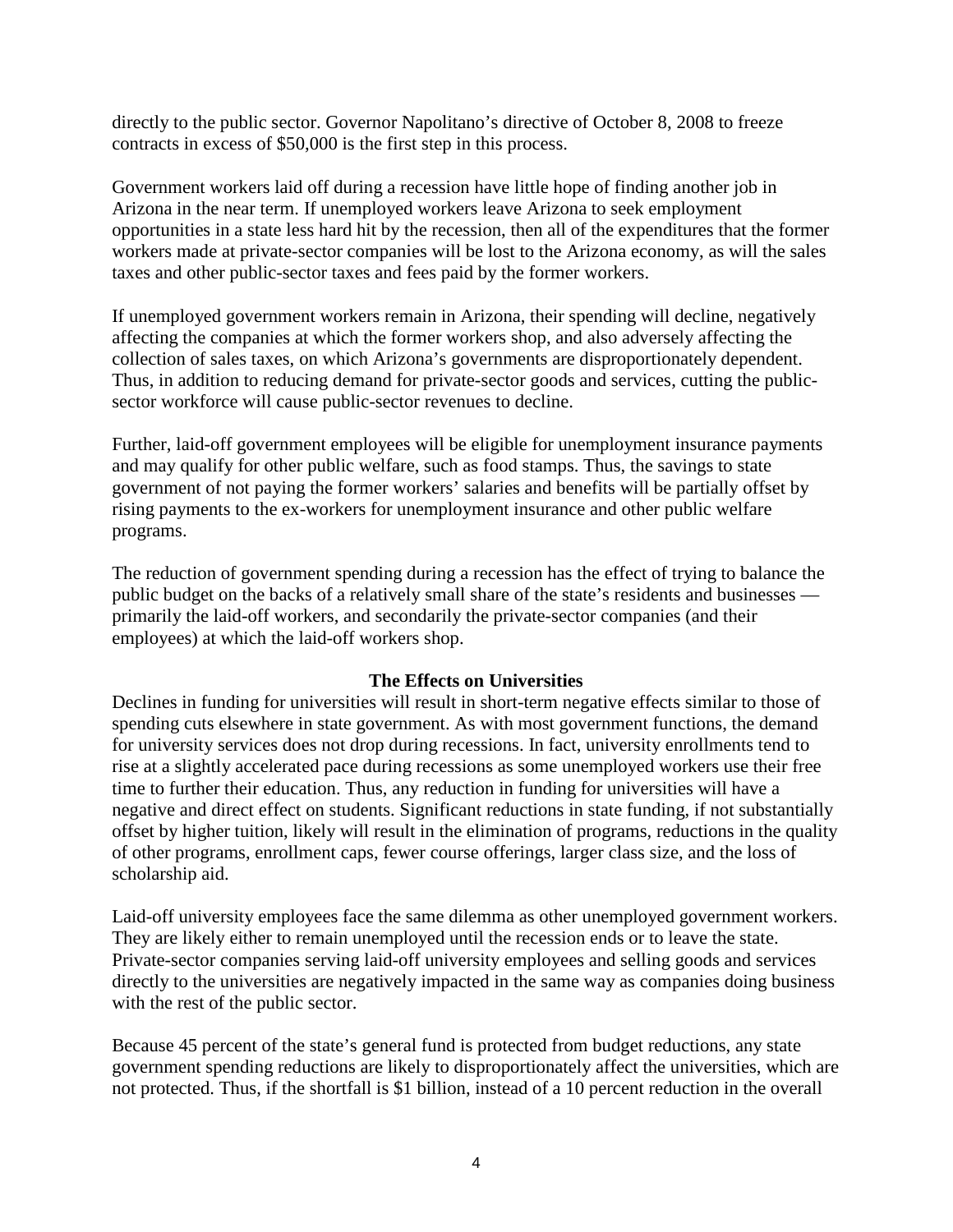directly to the public sector. Governor Napolitano's directive of October 8, 2008 to freeze contracts in excess of \$50,000 is the first step in this process.

Government workers laid off during a recession have little hope of finding another job in Arizona in the near term. If unemployed workers leave Arizona to seek employment opportunities in a state less hard hit by the recession, then all of the expenditures that the former workers made at private-sector companies will be lost to the Arizona economy, as will the sales taxes and other public-sector taxes and fees paid by the former workers.

If unemployed government workers remain in Arizona, their spending will decline, negatively affecting the companies at which the former workers shop, and also adversely affecting the collection of sales taxes, on which Arizona's governments are disproportionately dependent. Thus, in addition to reducing demand for private-sector goods and services, cutting the publicsector workforce will cause public-sector revenues to decline.

Further, laid-off government employees will be eligible for unemployment insurance payments and may qualify for other public welfare, such as food stamps. Thus, the savings to state government of not paying the former workers' salaries and benefits will be partially offset by rising payments to the ex-workers for unemployment insurance and other public welfare programs.

The reduction of government spending during a recession has the effect of trying to balance the public budget on the backs of a relatively small share of the state's residents and businesses primarily the laid-off workers, and secondarily the private-sector companies (and their employees) at which the laid-off workers shop.

#### **The Effects on Universities**

Declines in funding for universities will result in short-term negative effects similar to those of spending cuts elsewhere in state government. As with most government functions, the demand for university services does not drop during recessions. In fact, university enrollments tend to rise at a slightly accelerated pace during recessions as some unemployed workers use their free time to further their education. Thus, any reduction in funding for universities will have a negative and direct effect on students. Significant reductions in state funding, if not substantially offset by higher tuition, likely will result in the elimination of programs, reductions in the quality of other programs, enrollment caps, fewer course offerings, larger class size, and the loss of scholarship aid.

Laid-off university employees face the same dilemma as other unemployed government workers. They are likely either to remain unemployed until the recession ends or to leave the state. Private-sector companies serving laid-off university employees and selling goods and services directly to the universities are negatively impacted in the same way as companies doing business with the rest of the public sector.

Because 45 percent of the state's general fund is protected from budget reductions, any state government spending reductions are likely to disproportionately affect the universities, which are not protected. Thus, if the shortfall is \$1 billion, instead of a 10 percent reduction in the overall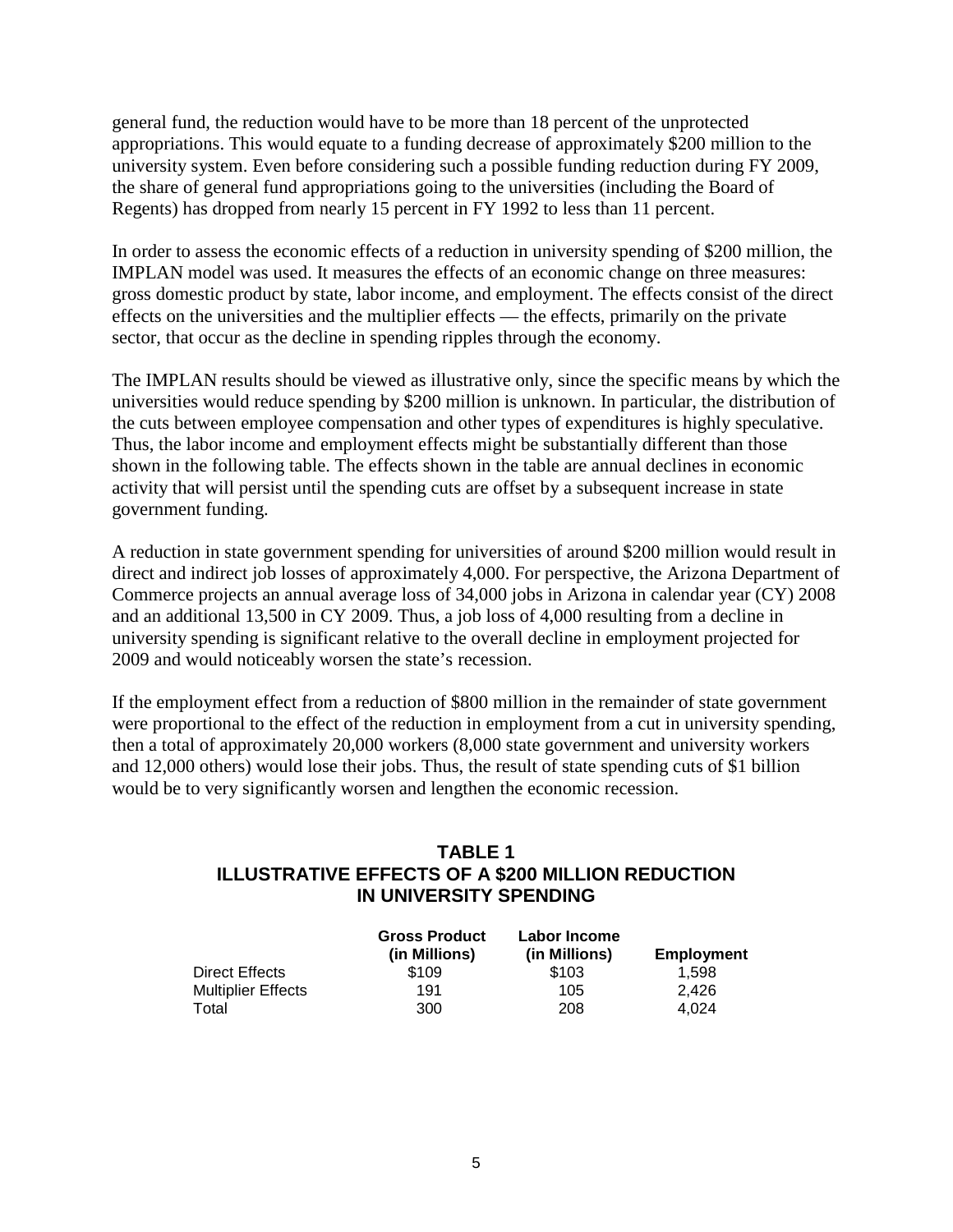general fund, the reduction would have to be more than 18 percent of the unprotected appropriations. This would equate to a funding decrease of approximately \$200 million to the university system. Even before considering such a possible funding reduction during FY 2009, the share of general fund appropriations going to the universities (including the Board of Regents) has dropped from nearly 15 percent in FY 1992 to less than 11 percent.

In order to assess the economic effects of a reduction in university spending of \$200 million, the IMPLAN model was used. It measures the effects of an economic change on three measures: gross domestic product by state, labor income, and employment. The effects consist of the direct effects on the universities and the multiplier effects — the effects, primarily on the private sector, that occur as the decline in spending ripples through the economy.

The IMPLAN results should be viewed as illustrative only, since the specific means by which the universities would reduce spending by \$200 million is unknown. In particular, the distribution of the cuts between employee compensation and other types of expenditures is highly speculative. Thus, the labor income and employment effects might be substantially different than those shown in the following table. The effects shown in the table are annual declines in economic activity that will persist until the spending cuts are offset by a subsequent increase in state government funding.

A reduction in state government spending for universities of around \$200 million would result in direct and indirect job losses of approximately 4,000. For perspective, the Arizona Department of Commerce projects an annual average loss of 34,000 jobs in Arizona in calendar year (CY) 2008 and an additional 13,500 in CY 2009. Thus, a job loss of 4,000 resulting from a decline in university spending is significant relative to the overall decline in employment projected for 2009 and would noticeably worsen the state's recession.

If the employment effect from a reduction of \$800 million in the remainder of state government were proportional to the effect of the reduction in employment from a cut in university spending, then a total of approximately 20,000 workers (8,000 state government and university workers and 12,000 others) would lose their jobs. Thus, the result of state spending cuts of \$1 billion would be to very significantly worsen and lengthen the economic recession.

## **TABLE 1**

#### **ILLUSTRATIVE EFFECTS OF A \$200 MILLION REDUCTION IN UNIVERSITY SPENDING**

|                           | <b>Gross Product</b><br>(in Millions) | Labor Income<br>(in Millions) | Employment |
|---------------------------|---------------------------------------|-------------------------------|------------|
| Direct Effects            | \$109                                 | \$103                         | 1.598      |
| <b>Multiplier Effects</b> | 191                                   | 105                           | 2.426      |
| Total                     | 300                                   | 208                           | 4.024      |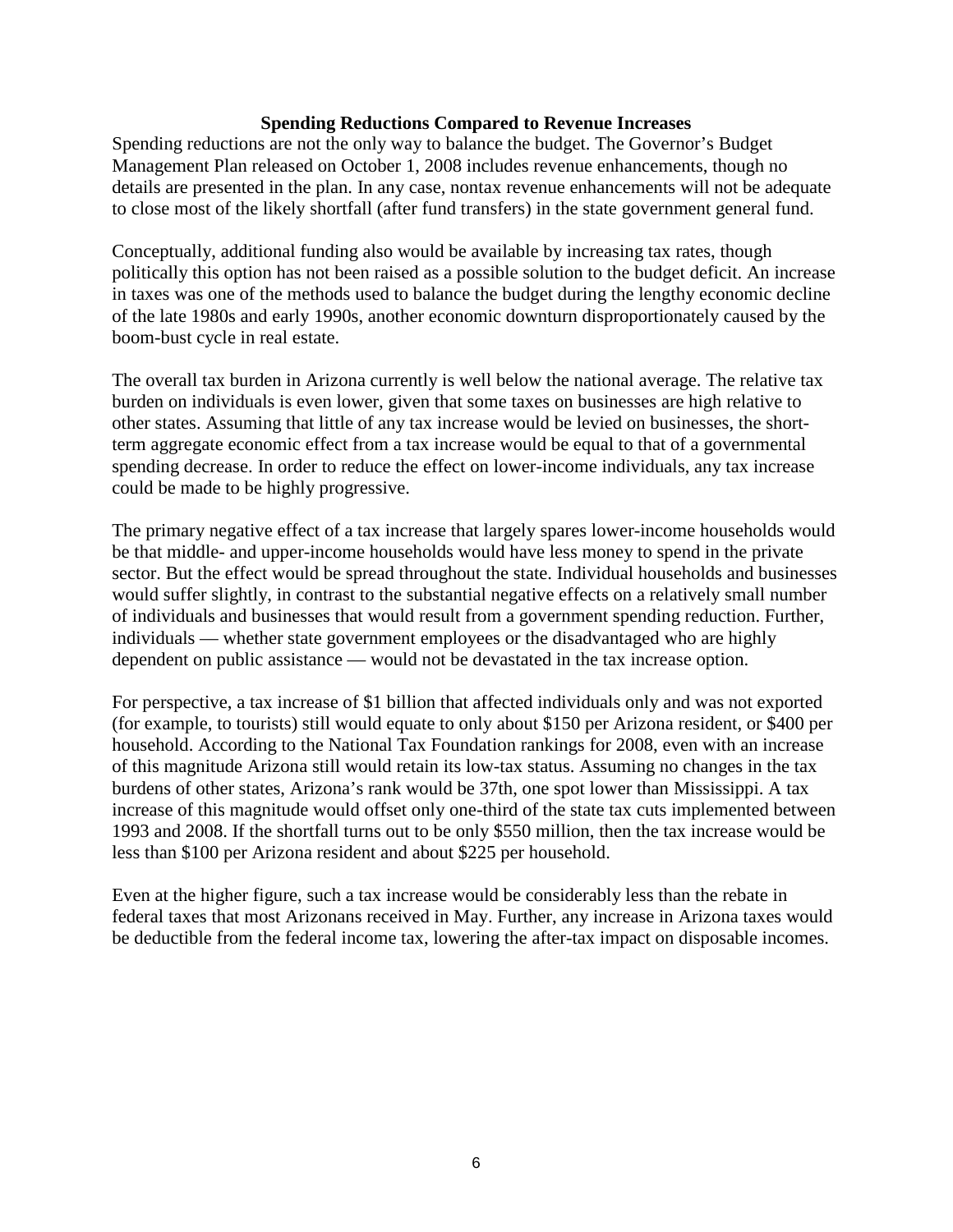#### **Spending Reductions Compared to Revenue Increases**

Spending reductions are not the only way to balance the budget. The Governor's Budget Management Plan released on October 1, 2008 includes revenue enhancements, though no details are presented in the plan. In any case, nontax revenue enhancements will not be adequate to close most of the likely shortfall (after fund transfers) in the state government general fund.

Conceptually, additional funding also would be available by increasing tax rates, though politically this option has not been raised as a possible solution to the budget deficit. An increase in taxes was one of the methods used to balance the budget during the lengthy economic decline of the late 1980s and early 1990s, another economic downturn disproportionately caused by the boom-bust cycle in real estate.

The overall tax burden in Arizona currently is well below the national average. The relative tax burden on individuals is even lower, given that some taxes on businesses are high relative to other states. Assuming that little of any tax increase would be levied on businesses, the shortterm aggregate economic effect from a tax increase would be equal to that of a governmental spending decrease. In order to reduce the effect on lower-income individuals, any tax increase could be made to be highly progressive.

The primary negative effect of a tax increase that largely spares lower-income households would be that middle- and upper-income households would have less money to spend in the private sector. But the effect would be spread throughout the state. Individual households and businesses would suffer slightly, in contrast to the substantial negative effects on a relatively small number of individuals and businesses that would result from a government spending reduction. Further, individuals — whether state government employees or the disadvantaged who are highly dependent on public assistance — would not be devastated in the tax increase option.

For perspective, a tax increase of \$1 billion that affected individuals only and was not exported (for example, to tourists) still would equate to only about \$150 per Arizona resident, or \$400 per household. According to the National Tax Foundation rankings for 2008, even with an increase of this magnitude Arizona still would retain its low-tax status. Assuming no changes in the tax burdens of other states, Arizona's rank would be 37th, one spot lower than Mississippi. A tax increase of this magnitude would offset only one-third of the state tax cuts implemented between 1993 and 2008. If the shortfall turns out to be only \$550 million, then the tax increase would be less than \$100 per Arizona resident and about \$225 per household.

Even at the higher figure, such a tax increase would be considerably less than the rebate in federal taxes that most Arizonans received in May. Further, any increase in Arizona taxes would be deductible from the federal income tax, lowering the after-tax impact on disposable incomes.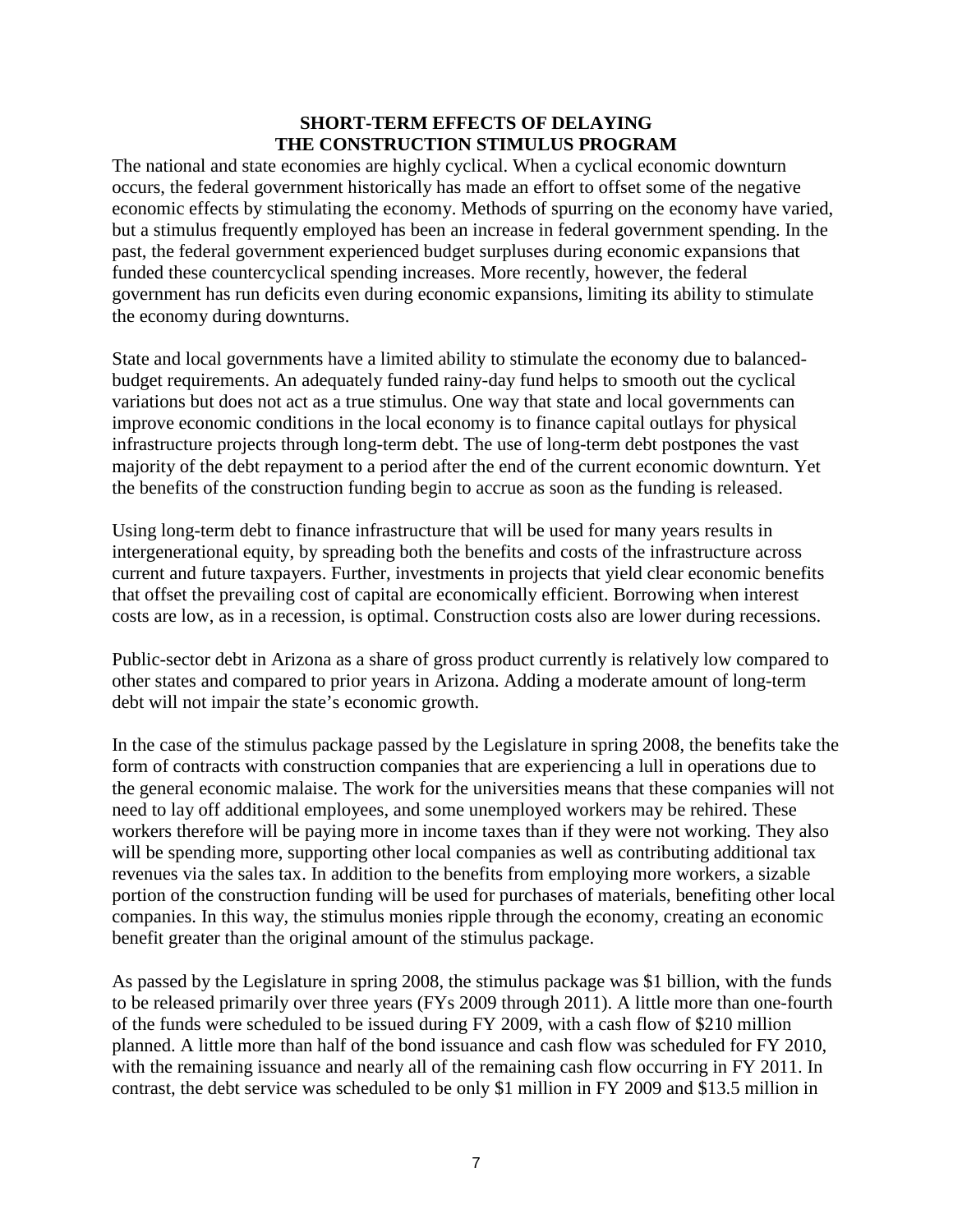#### **SHORT-TERM EFFECTS OF DELAYING THE CONSTRUCTION STIMULUS PROGRAM**

The national and state economies are highly cyclical. When a cyclical economic downturn occurs, the federal government historically has made an effort to offset some of the negative economic effects by stimulating the economy. Methods of spurring on the economy have varied, but a stimulus frequently employed has been an increase in federal government spending. In the past, the federal government experienced budget surpluses during economic expansions that funded these countercyclical spending increases. More recently, however, the federal government has run deficits even during economic expansions, limiting its ability to stimulate the economy during downturns.

State and local governments have a limited ability to stimulate the economy due to balancedbudget requirements. An adequately funded rainy-day fund helps to smooth out the cyclical variations but does not act as a true stimulus. One way that state and local governments can improve economic conditions in the local economy is to finance capital outlays for physical infrastructure projects through long-term debt. The use of long-term debt postpones the vast majority of the debt repayment to a period after the end of the current economic downturn. Yet the benefits of the construction funding begin to accrue as soon as the funding is released.

Using long-term debt to finance infrastructure that will be used for many years results in intergenerational equity, by spreading both the benefits and costs of the infrastructure across current and future taxpayers. Further, investments in projects that yield clear economic benefits that offset the prevailing cost of capital are economically efficient. Borrowing when interest costs are low, as in a recession, is optimal. Construction costs also are lower during recessions.

Public-sector debt in Arizona as a share of gross product currently is relatively low compared to other states and compared to prior years in Arizona. Adding a moderate amount of long-term debt will not impair the state's economic growth.

In the case of the stimulus package passed by the Legislature in spring 2008, the benefits take the form of contracts with construction companies that are experiencing a lull in operations due to the general economic malaise. The work for the universities means that these companies will not need to lay off additional employees, and some unemployed workers may be rehired. These workers therefore will be paying more in income taxes than if they were not working. They also will be spending more, supporting other local companies as well as contributing additional tax revenues via the sales tax. In addition to the benefits from employing more workers, a sizable portion of the construction funding will be used for purchases of materials, benefiting other local companies. In this way, the stimulus monies ripple through the economy, creating an economic benefit greater than the original amount of the stimulus package.

As passed by the Legislature in spring 2008, the stimulus package was \$1 billion, with the funds to be released primarily over three years (FYs 2009 through 2011). A little more than one-fourth of the funds were scheduled to be issued during FY 2009, with a cash flow of \$210 million planned. A little more than half of the bond issuance and cash flow was scheduled for FY 2010, with the remaining issuance and nearly all of the remaining cash flow occurring in FY 2011. In contrast, the debt service was scheduled to be only \$1 million in FY 2009 and \$13.5 million in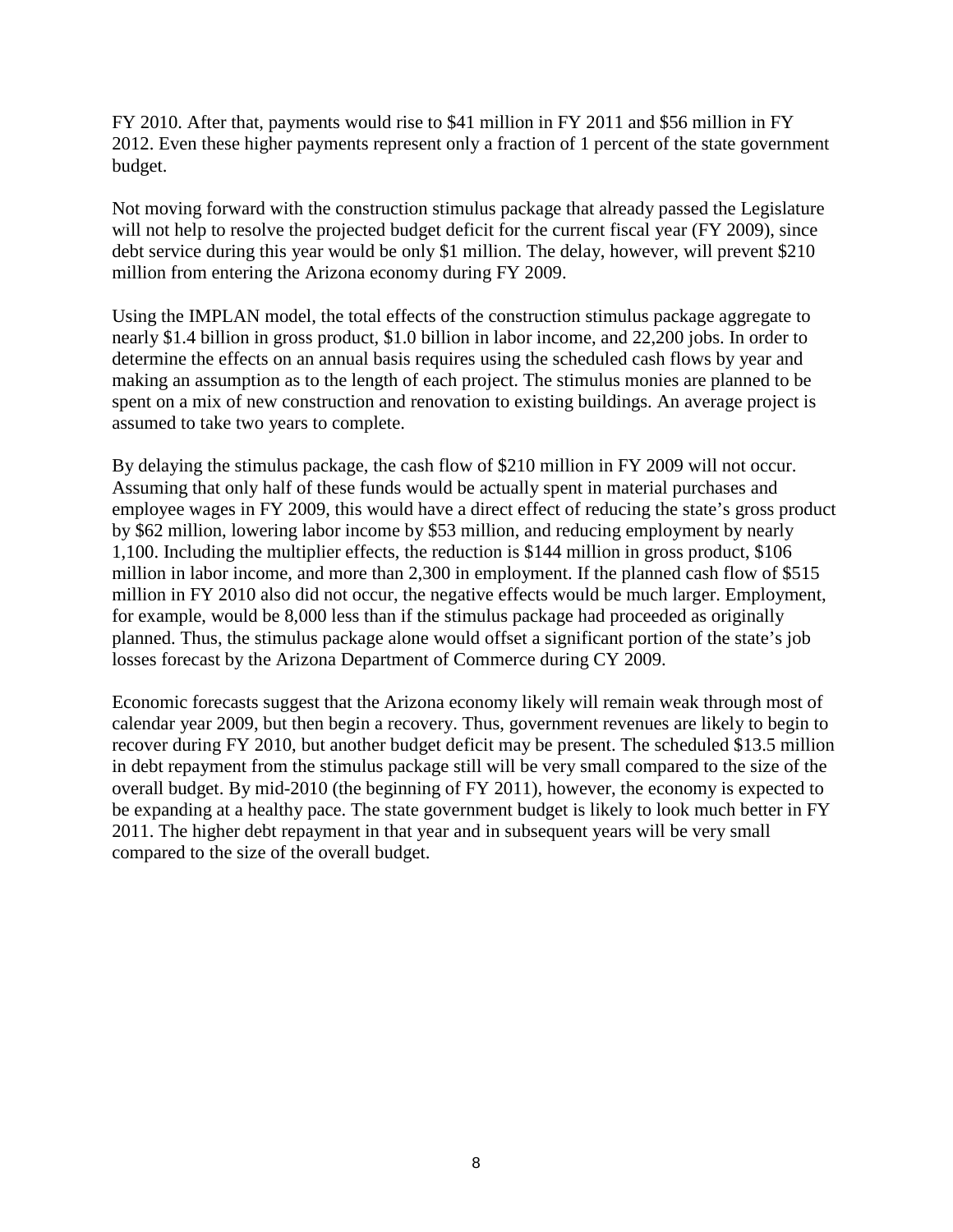FY 2010. After that, payments would rise to \$41 million in FY 2011 and \$56 million in FY 2012. Even these higher payments represent only a fraction of 1 percent of the state government budget.

Not moving forward with the construction stimulus package that already passed the Legislature will not help to resolve the projected budget deficit for the current fiscal year (FY 2009), since debt service during this year would be only \$1 million. The delay, however, will prevent \$210 million from entering the Arizona economy during FY 2009.

Using the IMPLAN model, the total effects of the construction stimulus package aggregate to nearly \$1.4 billion in gross product, \$1.0 billion in labor income, and 22,200 jobs. In order to determine the effects on an annual basis requires using the scheduled cash flows by year and making an assumption as to the length of each project. The stimulus monies are planned to be spent on a mix of new construction and renovation to existing buildings. An average project is assumed to take two years to complete.

By delaying the stimulus package, the cash flow of \$210 million in FY 2009 will not occur. Assuming that only half of these funds would be actually spent in material purchases and employee wages in FY 2009, this would have a direct effect of reducing the state's gross product by \$62 million, lowering labor income by \$53 million, and reducing employment by nearly 1,100. Including the multiplier effects, the reduction is \$144 million in gross product, \$106 million in labor income, and more than 2,300 in employment. If the planned cash flow of \$515 million in FY 2010 also did not occur, the negative effects would be much larger. Employment, for example, would be 8,000 less than if the stimulus package had proceeded as originally planned. Thus, the stimulus package alone would offset a significant portion of the state's job losses forecast by the Arizona Department of Commerce during CY 2009.

Economic forecasts suggest that the Arizona economy likely will remain weak through most of calendar year 2009, but then begin a recovery. Thus, government revenues are likely to begin to recover during FY 2010, but another budget deficit may be present. The scheduled \$13.5 million in debt repayment from the stimulus package still will be very small compared to the size of the overall budget. By mid-2010 (the beginning of FY 2011), however, the economy is expected to be expanding at a healthy pace. The state government budget is likely to look much better in FY 2011. The higher debt repayment in that year and in subsequent years will be very small compared to the size of the overall budget.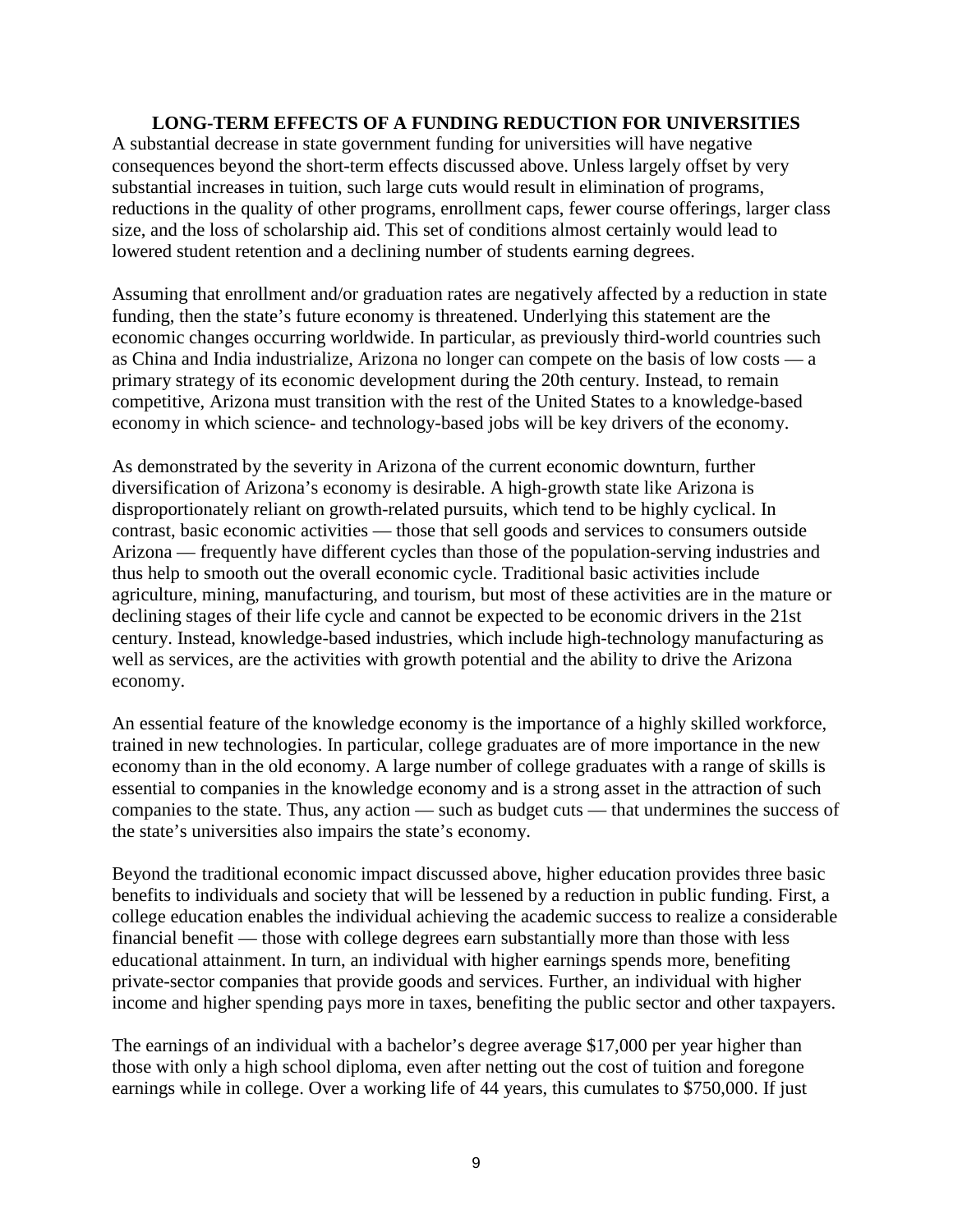#### **LONG-TERM EFFECTS OF A FUNDING REDUCTION FOR UNIVERSITIES**

A substantial decrease in state government funding for universities will have negative consequences beyond the short-term effects discussed above. Unless largely offset by very substantial increases in tuition, such large cuts would result in elimination of programs, reductions in the quality of other programs, enrollment caps, fewer course offerings, larger class size, and the loss of scholarship aid. This set of conditions almost certainly would lead to lowered student retention and a declining number of students earning degrees.

Assuming that enrollment and/or graduation rates are negatively affected by a reduction in state funding, then the state's future economy is threatened. Underlying this statement are the economic changes occurring worldwide. In particular, as previously third-world countries such as China and India industrialize, Arizona no longer can compete on the basis of low costs — a primary strategy of its economic development during the 20th century. Instead, to remain competitive, Arizona must transition with the rest of the United States to a knowledge-based economy in which science- and technology-based jobs will be key drivers of the economy.

As demonstrated by the severity in Arizona of the current economic downturn, further diversification of Arizona's economy is desirable. A high-growth state like Arizona is disproportionately reliant on growth-related pursuits, which tend to be highly cyclical. In contrast, basic economic activities — those that sell goods and services to consumers outside Arizona — frequently have different cycles than those of the population-serving industries and thus help to smooth out the overall economic cycle. Traditional basic activities include agriculture, mining, manufacturing, and tourism, but most of these activities are in the mature or declining stages of their life cycle and cannot be expected to be economic drivers in the 21st century. Instead, knowledge-based industries, which include high-technology manufacturing as well as services, are the activities with growth potential and the ability to drive the Arizona economy.

An essential feature of the knowledge economy is the importance of a highly skilled workforce, trained in new technologies. In particular, college graduates are of more importance in the new economy than in the old economy. A large number of college graduates with a range of skills is essential to companies in the knowledge economy and is a strong asset in the attraction of such companies to the state. Thus, any action — such as budget cuts — that undermines the success of the state's universities also impairs the state's economy.

Beyond the traditional economic impact discussed above, higher education provides three basic benefits to individuals and society that will be lessened by a reduction in public funding. First, a college education enables the individual achieving the academic success to realize a considerable financial benefit — those with college degrees earn substantially more than those with less educational attainment. In turn, an individual with higher earnings spends more, benefiting private-sector companies that provide goods and services. Further, an individual with higher income and higher spending pays more in taxes, benefiting the public sector and other taxpayers.

The earnings of an individual with a bachelor's degree average \$17,000 per year higher than those with only a high school diploma, even after netting out the cost of tuition and foregone earnings while in college. Over a working life of 44 years, this cumulates to \$750,000. If just